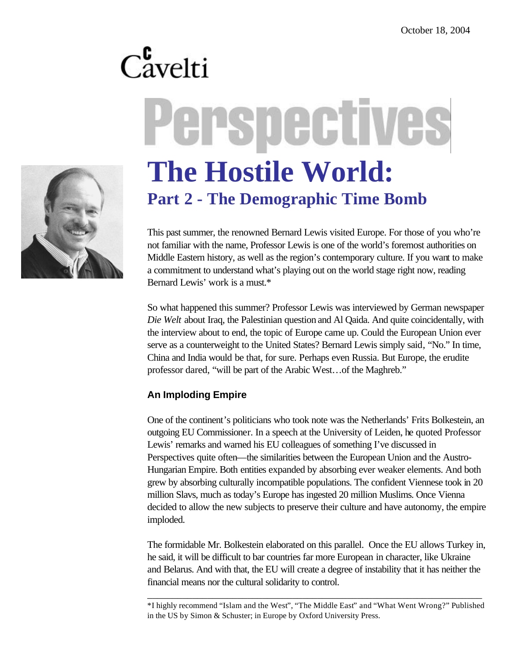# Cavelti Perspectives **The Hostile World: Part 2 - The Demographic Time Bomb**

This past summer, the renowned Bernard Lewis visited Europe. For those of you who're not familiar with the name, Professor Lewis is one of the world's foremost authorities on Middle Eastern history, as well as the region's contemporary culture. If you want to make a commitment to understand what's playing out on the world stage right now, reading Bernard Lewis' work is a must.\*

So what happened this summer? Professor Lewis was interviewed by German newspaper *Die Welt* about Iraq, the Palestinian question and Al Qaida. And quite coincidentally, with the interview about to end, the topic of Europe came up. Could the European Union ever serve as a counterweight to the United States? Bernard Lewis simply said, "No." In time, China and India would be that, for sure. Perhaps even Russia. But Europe, the erudite professor dared, "will be part of the Arabic West…of the Maghreb."

# **An Imploding Empire**

One of the continent's politicians who took note was the Netherlands' Frits Bolkestein, an outgoing EU Commissioner. In a speech at the University of Leiden, he quoted Professor Lewis' remarks and warned his EU colleagues of something I've discussed in Perspectives quite often—the similarities between the European Union and the Austro-Hungarian Empire. Both entities expanded by absorbing ever weaker elements. And both grew by absorbing culturally incompatible populations. The confident Viennese took in 20 million Slavs, much as today's Europe has ingested 20 million Muslims. Once Vienna decided to allow the new subjects to preserve their culture and have autonomy, the empire imploded.

The formidable Mr. Bolkestein elaborated on this parallel. Once the EU allows Turkey in, he said, it will be difficult to bar countries far more European in character, like Ukraine and Belarus. And with that, the EU will create a degree of instability that it has neither the financial means nor the cultural solidarity to control.

\_\_\_\_\_\_\_\_\_\_\_\_\_\_\_\_\_\_\_\_\_\_\_\_\_\_\_\_\_\_\_\_\_\_\_\_\_\_\_\_\_\_\_\_\_\_\_\_\_\_\_\_\_\_\_\_\_\_\_\_\_\_\_\_\_\_\_ \*I highly recommend "Islam and the West", "The Middle East" and "What Went Wrong?" Published in the US by Simon & Schuster; in Europe by Oxford University Press.

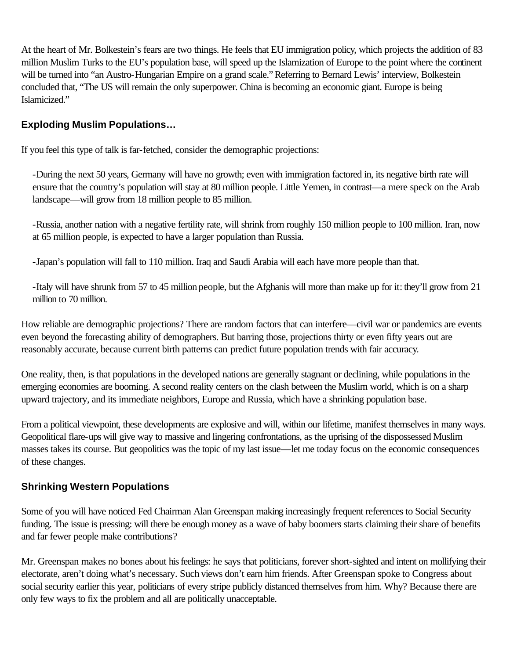At the heart of Mr. Bolkestein's fears are two things. He feels that EU immigration policy, which projects the addition of 83 million Muslim Turks to the EU's population base, will speed up the Islamization of Europe to the point where the continent will be turned into "an Austro-Hungarian Empire on a grand scale." Referring to Bernard Lewis' interview, Bolkestein concluded that, "The US will remain the only superpower. China is becoming an economic giant. Europe is being Islamicized."

# **Exploding Muslim Populations…**

If you feel this type of talk is far-fetched, consider the demographic projections:

-During the next 50 years, Germany will have no growth; even with immigration factored in, its negative birth rate will ensure that the country's population will stay at 80 million people. Little Yemen, in contrast—a mere speck on the Arab landscape—will grow from 18 million people to 85 million.

-Russia, another nation with a negative fertility rate, will shrink from roughly 150 million people to 100 million. Iran, now at 65 million people, is expected to have a larger population than Russia.

-Japan's population will fall to 110 million. Iraq and Saudi Arabia will each have more people than that.

-Italy will have shrunk from 57 to 45 million people, but the Afghanis will more than make up for it: they'll grow from 21 million to 70 million.

How reliable are demographic projections? There are random factors that can interfere—civil war or pandemics are events even beyond the forecasting ability of demographers. But barring those, projections thirty or even fifty years out are reasonably accurate, because current birth patterns can predict future population trends with fair accuracy.

One reality, then, is that populations in the developed nations are generally stagnant or declining, while populations in the emerging economies are booming. A second reality centers on the clash between the Muslim world, which is on a sharp upward trajectory, and its immediate neighbors, Europe and Russia, which have a shrinking population base.

From a political viewpoint, these developments are explosive and will, within our lifetime, manifest themselves in many ways. Geopolitical flare-ups will give way to massive and lingering confrontations, as the uprising of the dispossessed Muslim masses takes its course. But geopolitics was the topic of my last issue—let me today focus on the economic consequences of these changes.

#### **Shrinking Western Populations**

Some of you will have noticed Fed Chairman Alan Greenspan making increasingly frequent references to Social Security funding. The issue is pressing: will there be enough money as a wave of baby boomers starts claiming their share of benefits and far fewer people make contributions?

Mr. Greenspan makes no bones about his feelings: he says that politicians, forever short-sighted and intent on mollifying their electorate, aren't doing what's necessary. Such views don't earn him friends. After Greenspan spoke to Congress about social security earlier this year, politicians of every stripe publicly distanced themselves from him. Why? Because there are only few ways to fix the problem and all are politically unacceptable.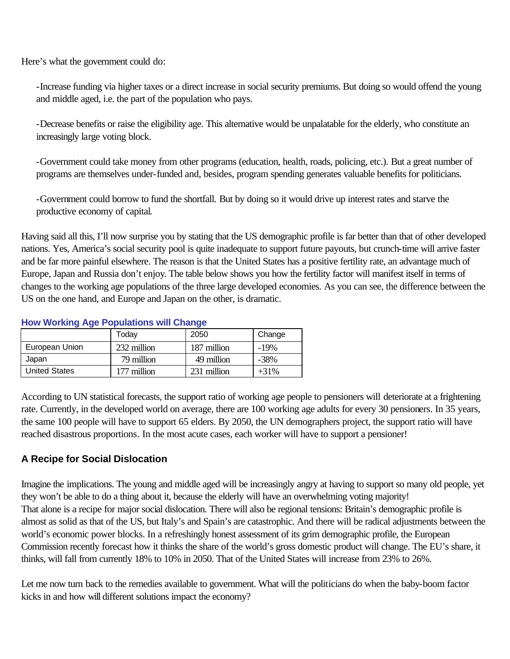Here's what the government could do:

-Increase funding via higher taxes or a direct increase in social security premiums. But doing so would offend the young and middle aged, i.e. the part of the population who pays.

-Decrease benefits or raise the eligibility age. This alternative would be unpalatable for the elderly, who constitute an increasingly large voting block.

-Government could take money from other programs (education, health, roads, policing, etc.). But a great number of programs are themselves under-funded and, besides, program spending generates valuable benefits for politicians.

-Government could borrow to fund the shortfall. But by doing so it would drive up interest rates and starve the productive economy of capital.

Having said all this, I'll now surprise you by stating that the US demographic profile is far better than that of other developed nations. Yes, America's social security pool is quite inadequate to support future payouts, but crunch-time will arrive faster and be far more painful elsewhere. The reason is that the United States has a positive fertility rate, an advantage much of Europe, Japan and Russia don't enjoy. The table below shows you how the fertility factor will manifest itself in terms of changes to the working age populations of the three large developed economies. As you can see, the difference between the US on the one hand, and Europe and Japan on the other, is dramatic.

| <b>TIOW WORKING Age I Optimums will Unange</b> |             |             |         |
|------------------------------------------------|-------------|-------------|---------|
|                                                | Todav       | 2050        | Change  |
| European Union                                 | 232 million | 187 million | $-19%$  |
| Japan                                          | 79 million  | 49 million  | $-38\%$ |
| <b>United States</b>                           | 177 million | 231 million | $+31\%$ |

#### **How Working Age Populations will Change**

According to UN statistical forecasts, the support ratio of working age people to pensioners will deteriorate at a frightening rate. Currently, in the developed world on average, there are 100 working age adults for every 30 pensioners. In 35 years, the same 100 people will have to support 65 elders. By 2050, the UN demographers project, the support ratio will have reached disastrous proportions. In the most acute cases, each worker will have to support a pensioner!

# **A Recipe for Social Dislocation**

Imagine the implications. The young and middle aged will be increasingly angry at having to support so many old people, yet they won't be able to do a thing about it, because the elderly will have an overwhelming voting majority! That alone is a recipe for major social dislocation. There will also be regional tensions: Britain's demographic profile is almost as solid as that of the US, but Italy's and Spain's are catastrophic. And there will be radical adjustments between the world's economic power blocks. In a refreshingly honest assessment of its grim demographic profile, the European Commission recently forecast how it thinks the share of the world's gross domestic product will change. The EU's share, it thinks, will fall from currently 18% to 10% in 2050. That of the United States will increase from 23% to 26%.

Let me now turn back to the remedies available to government. What will the politicians do when the baby-boom factor kicks in and how will different solutions impact the economy?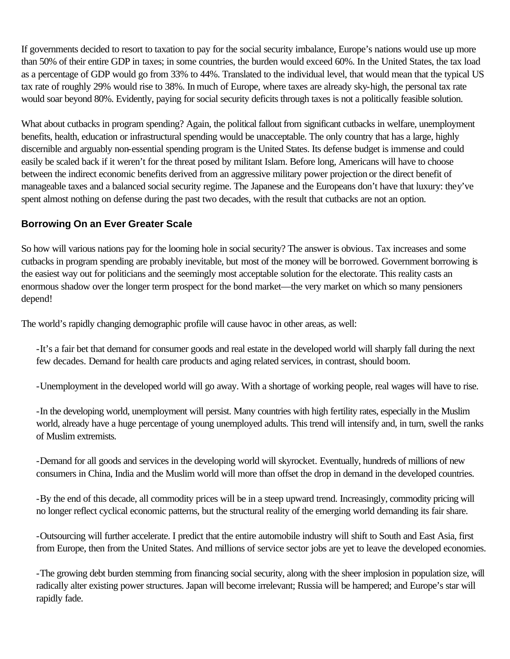If governments decided to resort to taxation to pay for the social security imbalance, Europe's nations would use up more than 50% of their entire GDP in taxes; in some countries, the burden would exceed 60%. In the United States, the tax load as a percentage of GDP would go from 33% to 44%. Translated to the individual level, that would mean that the typical US tax rate of roughly 29% would rise to 38%. In much of Europe, where taxes are already sky-high, the personal tax rate would soar beyond 80%. Evidently, paying for social security deficits through taxes is not a politically feasible solution.

What about cutbacks in program spending? Again, the political fallout from significant cutbacks in welfare, unemployment benefits, health, education or infrastructural spending would be unacceptable. The only country that has a large, highly discernible and arguably non-essential spending program is the United States. Its defense budget is immense and could easily be scaled back if it weren't for the threat posed by militant Islam. Before long, Americans will have to choose between the indirect economic benefits derived from an aggressive military power projection or the direct benefit of manageable taxes and a balanced social security regime. The Japanese and the Europeans don't have that luxury: they've spent almost nothing on defense during the past two decades, with the result that cutbacks are not an option.

### **Borrowing On an Ever Greater Scale**

So how will various nations pay for the looming hole in social security? The answer is obvious. Tax increases and some cutbacks in program spending are probably inevitable, but most of the money will be borrowed. Government borrowing is the easiest way out for politicians and the seemingly most acceptable solution for the electorate. This reality casts an enormous shadow over the longer term prospect for the bond market—the very market on which so many pensioners depend!

The world's rapidly changing demographic profile will cause havoc in other areas, as well:

-It's a fair bet that demand for consumer goods and real estate in the developed world will sharply fall during the next few decades. Demand for health care products and aging related services, in contrast, should boom.

-Unemployment in the developed world will go away. With a shortage of working people, real wages will have to rise.

-In the developing world, unemployment will persist. Many countries with high fertility rates, especially in the Muslim world, already have a huge percentage of young unemployed adults. This trend will intensify and, in turn, swell the ranks of Muslim extremists.

-Demand for all goods and services in the developing world will skyrocket. Eventually, hundreds of millions of new consumers in China, India and the Muslim world will more than offset the drop in demand in the developed countries.

-By the end of this decade, all commodity prices will be in a steep upward trend. Increasingly, commodity pricing will no longer reflect cyclical economic patterns, but the structural reality of the emerging world demanding its fair share.

-Outsourcing will further accelerate. I predict that the entire automobile industry will shift to South and East Asia, first from Europe, then from the United States. And millions of service sector jobs are yet to leave the developed economies.

-The growing debt burden stemming from financing social security, along with the sheer implosion in population size, will radically alter existing power structures. Japan will become irrelevant; Russia will be hampered; and Europe's star will rapidly fade.